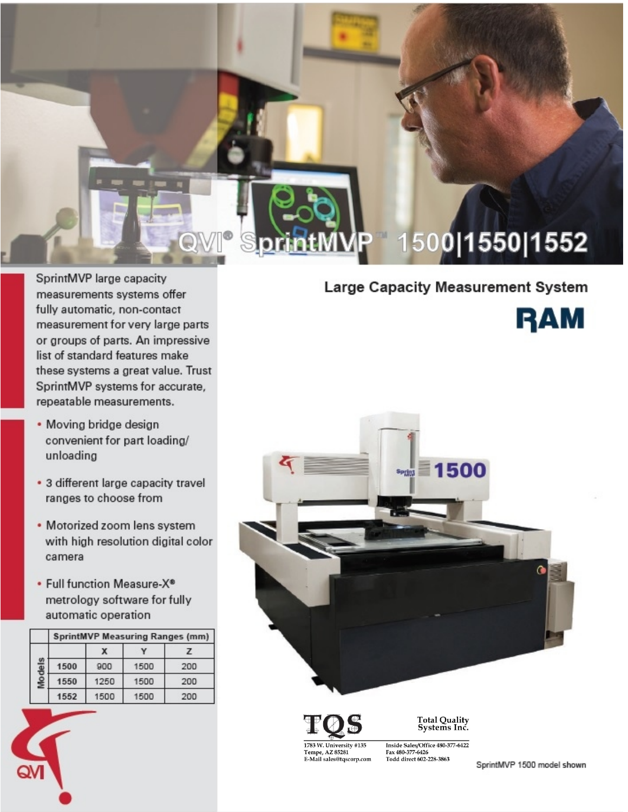# 1500|1550|1552

SprintMVP large capacity measurements systems offer fully automatic, non-contact measurement for very large parts or groups of parts. An impressive list of standard features make these systems a great value. Trust SprintMVP systems for accurate, repeatable measurements.

- Moving bridge design convenient for part loading/ unloading
- 3 different large capacity travel ranges to choose from
- Motorized zoom lens system with high resolution digital color camera
- Full function Measure-X<sup>®</sup> metrology software for fully automatic operation

|   | <b>SprintMVP Measuring Ranges (mm)</b> |             |      |     |  |  |  |  |
|---|----------------------------------------|-------------|------|-----|--|--|--|--|
| 읖 |                                        | х           |      | 7   |  |  |  |  |
|   | 1500                                   | 900<br>1500 |      | 200 |  |  |  |  |
|   | 1550                                   | 1250        | 1500 | 200 |  |  |  |  |
|   | 1552                                   | 1500        | 1500 | 200 |  |  |  |  |

### **Large Capacity Measurement System**





1783 W. University #135 Tempe, AZ 85281<br>E-Mail sales@tqscorp.com Total Quality<br>Systems Inc.

Inside Sales/Office 480-377-6422 Fax 480-377-6426<br>Todd direct 602-228-3863

SprintMVP 1500 model shown